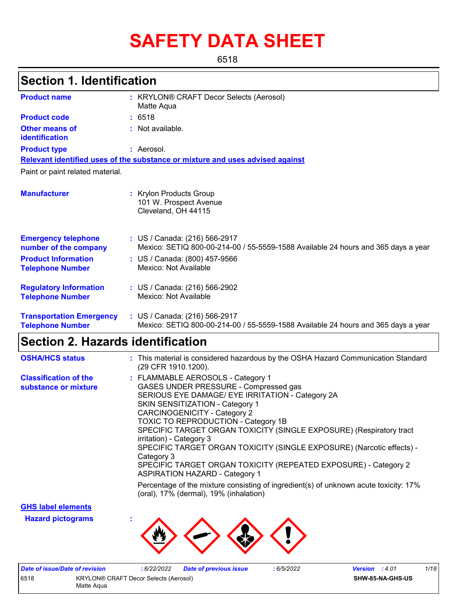# **SAFETY DATA SHEET**

6518

## **Section 1. Identification**

| <b>Product name</b>                                        | : KRYLON® CRAFT Decor Selects (Aerosol)<br>Matte Aqua                                                              |
|------------------------------------------------------------|--------------------------------------------------------------------------------------------------------------------|
| <b>Product code</b>                                        | : 6518                                                                                                             |
| Other means of<br>identification                           | : Not available.                                                                                                   |
| <b>Product type</b>                                        | : Aerosol.                                                                                                         |
|                                                            | Relevant identified uses of the substance or mixture and uses advised against                                      |
| Paint or paint related material.                           |                                                                                                                    |
| <b>Manufacturer</b>                                        | : Krylon Products Group<br>101 W. Prospect Avenue<br>Cleveland, OH 44115                                           |
| <b>Emergency telephone</b><br>number of the company        | : US / Canada: (216) 566-2917<br>Mexico: SETIQ 800-00-214-00 / 55-5559-1588 Available 24 hours and 365 days a year |
| <b>Product Information</b><br><b>Telephone Number</b>      | : US / Canada: (800) 457-9566<br>Mexico: Not Available                                                             |
| <b>Regulatory Information</b><br><b>Telephone Number</b>   | : US / Canada: (216) 566-2902<br>Mexico: Not Available                                                             |
| <b>Transportation Emergency</b><br><b>Telephone Number</b> | : US / Canada: (216) 566-2917<br>Mexico: SETIQ 800-00-214-00 / 55-5559-1588 Available 24 hours and 365 days a year |

## **Section 2. Hazards identification**

| <b>OSHA/HCS status</b>                               | : This material is considered hazardous by the OSHA Hazard Communication Standard<br>(29 CFR 1910.1200).                                                                                                                                                                                                                                                                                                                                                                                                                                                     |
|------------------------------------------------------|--------------------------------------------------------------------------------------------------------------------------------------------------------------------------------------------------------------------------------------------------------------------------------------------------------------------------------------------------------------------------------------------------------------------------------------------------------------------------------------------------------------------------------------------------------------|
| <b>Classification of the</b><br>substance or mixture | : FLAMMABLE AEROSOLS - Category 1<br>GASES UNDER PRESSURE - Compressed gas<br>SERIOUS EYE DAMAGE/ EYE IRRITATION - Category 2A<br>SKIN SENSITIZATION - Category 1<br><b>CARCINOGENICITY - Category 2</b><br><b>TOXIC TO REPRODUCTION - Category 1B</b><br>SPECIFIC TARGET ORGAN TOXICITY (SINGLE EXPOSURE) (Respiratory tract<br>irritation) - Category 3<br>SPECIFIC TARGET ORGAN TOXICITY (SINGLE EXPOSURE) (Narcotic effects) -<br>Category 3<br>SPECIFIC TARGET ORGAN TOXICITY (REPEATED EXPOSURE) - Category 2<br><b>ASPIRATION HAZARD - Category 1</b> |
|                                                      | Percentage of the mixture consisting of ingredient(s) of unknown acute toxicity: 17%<br>(oral), 17% (dermal), 19% (inhalation)                                                                                                                                                                                                                                                                                                                                                                                                                               |

**GHS label elements**

**Hazard pictograms :**



|                                               | Date of issue/Date of revision | : 6/22/2022 | <b>Date of previous issue</b> | 6/5/2022                | <b>Version</b> : 4.01 | 1/18 |
|-----------------------------------------------|--------------------------------|-------------|-------------------------------|-------------------------|-----------------------|------|
| 6518<br>KRYLON® CRAFT Decor Selects (Aerosol) |                                |             |                               | <b>SHW-85-NA-GHS-US</b> |                       |      |
|                                               | Matte Agua                     |             |                               |                         |                       |      |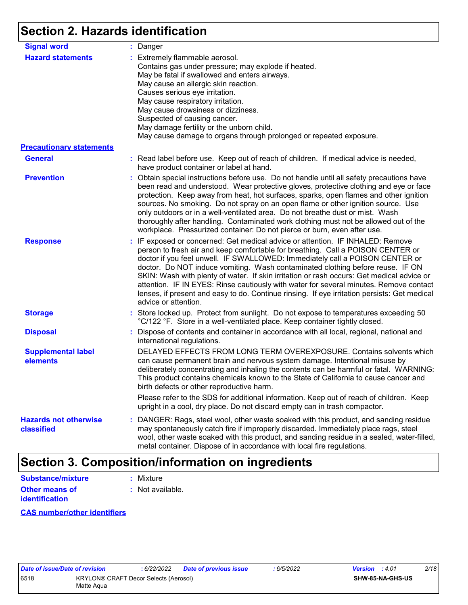## **Section 2. Hazards identification**

| <b>Signal word</b>                         | : Danger                                                                                                                                                                                                                                                                                                                                                                                                                                                                                                                                                                                                                                           |
|--------------------------------------------|----------------------------------------------------------------------------------------------------------------------------------------------------------------------------------------------------------------------------------------------------------------------------------------------------------------------------------------------------------------------------------------------------------------------------------------------------------------------------------------------------------------------------------------------------------------------------------------------------------------------------------------------------|
| <b>Hazard statements</b>                   | : Extremely flammable aerosol.<br>Contains gas under pressure; may explode if heated.<br>May be fatal if swallowed and enters airways.<br>May cause an allergic skin reaction.<br>Causes serious eye irritation.<br>May cause respiratory irritation.<br>May cause drowsiness or dizziness.<br>Suspected of causing cancer.<br>May damage fertility or the unborn child.<br>May cause damage to organs through prolonged or repeated exposure.                                                                                                                                                                                                     |
| <b>Precautionary statements</b>            |                                                                                                                                                                                                                                                                                                                                                                                                                                                                                                                                                                                                                                                    |
| <b>General</b>                             | : Read label before use. Keep out of reach of children. If medical advice is needed,<br>have product container or label at hand.                                                                                                                                                                                                                                                                                                                                                                                                                                                                                                                   |
| <b>Prevention</b>                          | : Obtain special instructions before use. Do not handle until all safety precautions have<br>been read and understood. Wear protective gloves, protective clothing and eye or face<br>protection. Keep away from heat, hot surfaces, sparks, open flames and other ignition<br>sources. No smoking. Do not spray on an open flame or other ignition source. Use<br>only outdoors or in a well-ventilated area. Do not breathe dust or mist. Wash<br>thoroughly after handling. Contaminated work clothing must not be allowed out of the<br>workplace. Pressurized container: Do not pierce or burn, even after use.                               |
| <b>Response</b>                            | : IF exposed or concerned: Get medical advice or attention. IF INHALED: Remove<br>person to fresh air and keep comfortable for breathing. Call a POISON CENTER or<br>doctor if you feel unwell. IF SWALLOWED: Immediately call a POISON CENTER or<br>doctor. Do NOT induce vomiting. Wash contaminated clothing before reuse. IF ON<br>SKIN: Wash with plenty of water. If skin irritation or rash occurs: Get medical advice or<br>attention. IF IN EYES: Rinse cautiously with water for several minutes. Remove contact<br>lenses, if present and easy to do. Continue rinsing. If eye irritation persists: Get medical<br>advice or attention. |
| <b>Storage</b>                             | : Store locked up. Protect from sunlight. Do not expose to temperatures exceeding 50<br>°C/122 °F. Store in a well-ventilated place. Keep container tightly closed.                                                                                                                                                                                                                                                                                                                                                                                                                                                                                |
| <b>Disposal</b>                            | : Dispose of contents and container in accordance with all local, regional, national and<br>international regulations.                                                                                                                                                                                                                                                                                                                                                                                                                                                                                                                             |
| <b>Supplemental label</b><br>elements      | DELAYED EFFECTS FROM LONG TERM OVEREXPOSURE. Contains solvents which<br>can cause permanent brain and nervous system damage. Intentional misuse by<br>deliberately concentrating and inhaling the contents can be harmful or fatal. WARNING:<br>This product contains chemicals known to the State of California to cause cancer and<br>birth defects or other reproductive harm.                                                                                                                                                                                                                                                                  |
|                                            | Please refer to the SDS for additional information. Keep out of reach of children. Keep<br>upright in a cool, dry place. Do not discard empty can in trash compactor.                                                                                                                                                                                                                                                                                                                                                                                                                                                                              |
| <b>Hazards not otherwise</b><br>classified | : DANGER: Rags, steel wool, other waste soaked with this product, and sanding residue<br>may spontaneously catch fire if improperly discarded. Immediately place rags, steel<br>wool, other waste soaked with this product, and sanding residue in a sealed, water-filled,<br>metal container. Dispose of in accordance with local fire regulations.                                                                                                                                                                                                                                                                                               |

## **Section 3. Composition/information on ingredients**

| <b>Substance/mixture</b>                | : Mixture          |
|-----------------------------------------|--------------------|
| Other means of<br><b>identification</b> | $:$ Not available. |

#### **CAS number/other identifiers**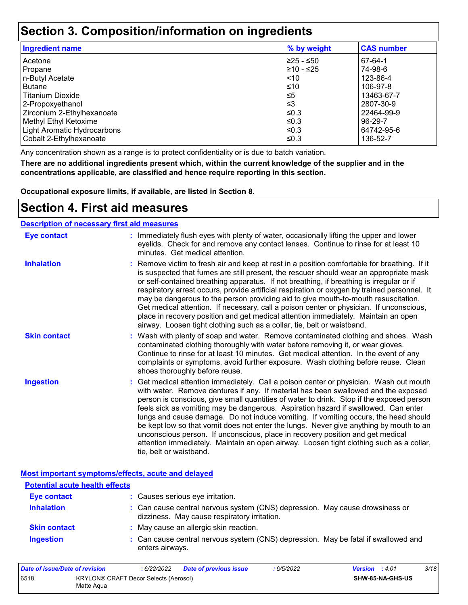### **Section 3. Composition/information on ingredients**

| <b>Ingredient name</b>      | % by weight | <b>CAS number</b> |
|-----------------------------|-------------|-------------------|
| Acetone                     | l≥25 - ≤50  | 67-64-1           |
| Propane                     | 210 - ≤25   | 74-98-6           |
| n-Butyl Acetate             | $\leq 10$   | 123-86-4          |
| <b>Butane</b>               | ≤10         | 106-97-8          |
| <b>Titanium Dioxide</b>     | l≤5         | 13463-67-7        |
| 2-Propoxyethanol            | l≤3         | 2807-30-9         |
| Zirconium 2-Ethylhexanoate  | l≤0.3       | 22464-99-9        |
| Methyl Ethyl Ketoxime       | l≤0.3       | 96-29-7           |
| Light Aromatic Hydrocarbons | l≤0.3       | 64742-95-6        |
| Cobalt 2-Ethylhexanoate     | l≤0.3       | 136-52-7          |

Any concentration shown as a range is to protect confidentiality or is due to batch variation.

**There are no additional ingredients present which, within the current knowledge of the supplier and in the concentrations applicable, are classified and hence require reporting in this section.**

**Occupational exposure limits, if available, are listed in Section 8.**

## **Section 4. First aid measures**

| <b>Description of necessary first aid measures</b> |                                                                                                                                                                                                                                                                                                                                                                                                                                                                                                                                                                                                                                                                                                                                                         |
|----------------------------------------------------|---------------------------------------------------------------------------------------------------------------------------------------------------------------------------------------------------------------------------------------------------------------------------------------------------------------------------------------------------------------------------------------------------------------------------------------------------------------------------------------------------------------------------------------------------------------------------------------------------------------------------------------------------------------------------------------------------------------------------------------------------------|
| <b>Eye contact</b>                                 | : Immediately flush eyes with plenty of water, occasionally lifting the upper and lower<br>eyelids. Check for and remove any contact lenses. Continue to rinse for at least 10<br>minutes. Get medical attention.                                                                                                                                                                                                                                                                                                                                                                                                                                                                                                                                       |
| <b>Inhalation</b>                                  | : Remove victim to fresh air and keep at rest in a position comfortable for breathing. If it<br>is suspected that fumes are still present, the rescuer should wear an appropriate mask<br>or self-contained breathing apparatus. If not breathing, if breathing is irregular or if<br>respiratory arrest occurs, provide artificial respiration or oxygen by trained personnel. It<br>may be dangerous to the person providing aid to give mouth-to-mouth resuscitation.<br>Get medical attention. If necessary, call a poison center or physician. If unconscious,<br>place in recovery position and get medical attention immediately. Maintain an open<br>airway. Loosen tight clothing such as a collar, tie, belt or waistband.                    |
| <b>Skin contact</b>                                | : Wash with plenty of soap and water. Remove contaminated clothing and shoes. Wash<br>contaminated clothing thoroughly with water before removing it, or wear gloves.<br>Continue to rinse for at least 10 minutes. Get medical attention. In the event of any<br>complaints or symptoms, avoid further exposure. Wash clothing before reuse. Clean<br>shoes thoroughly before reuse.                                                                                                                                                                                                                                                                                                                                                                   |
| <b>Ingestion</b>                                   | : Get medical attention immediately. Call a poison center or physician. Wash out mouth<br>with water. Remove dentures if any. If material has been swallowed and the exposed<br>person is conscious, give small quantities of water to drink. Stop if the exposed person<br>feels sick as vomiting may be dangerous. Aspiration hazard if swallowed. Can enter<br>lungs and cause damage. Do not induce vomiting. If vomiting occurs, the head should<br>be kept low so that vomit does not enter the lungs. Never give anything by mouth to an<br>unconscious person. If unconscious, place in recovery position and get medical<br>attention immediately. Maintain an open airway. Loosen tight clothing such as a collar,<br>tie, belt or waistband. |

**Most important symptoms/effects, acute and delayed**

| <b>Potential acute health effects</b> |                                                                                                                              |  |
|---------------------------------------|------------------------------------------------------------------------------------------------------------------------------|--|
| <b>Eye contact</b>                    | : Causes serious eye irritation.                                                                                             |  |
| <b>Inhalation</b>                     | : Can cause central nervous system (CNS) depression. May cause drowsiness or<br>dizziness. May cause respiratory irritation. |  |
| <b>Skin contact</b>                   | : May cause an allergic skin reaction.                                                                                       |  |
| <b>Ingestion</b>                      | : Can cause central nervous system (CNS) depression. May be fatal if swallowed and<br>enters airways.                        |  |

| Date of issue/Date of revision |                                                     | : 6/22/2022 | Date of previous issue | 6/5/2022 | <b>Version</b> : 4.01 |                         | 3/18 |
|--------------------------------|-----------------------------------------------------|-------------|------------------------|----------|-----------------------|-------------------------|------|
| 6518                           | KRYLON® CRAFT Decor Selects (Aerosol)<br>Matte Agua |             |                        |          |                       | <b>SHW-85-NA-GHS-US</b> |      |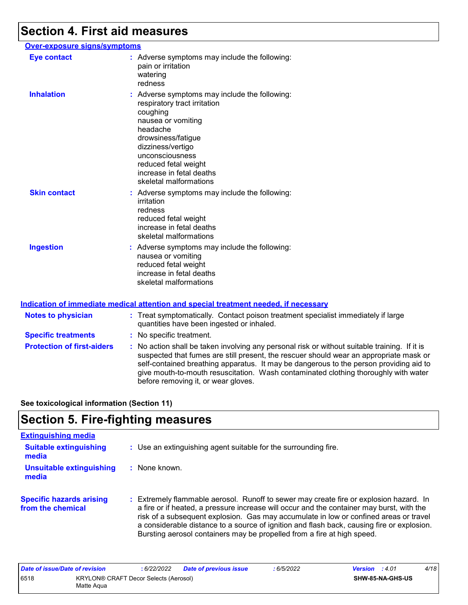### **Section 4. First aid measures**

#### **Over-exposure signs/symptoms Skin contact Ingestion Inhalation binds of the symptoms may include the following:** respiratory tract irritation coughing nausea or vomiting headache drowsiness/fatigue dizziness/vertigo unconsciousness reduced fetal weight increase in fetal deaths skeletal malformations Adverse symptoms may include the following: **:** nausea or vomiting reduced fetal weight increase in fetal deaths skeletal malformations Adverse symptoms may include the following: **:** irritation redness reduced fetal weight increase in fetal deaths skeletal malformations **Eye contact :** Adverse symptoms may include the following: pain or irritation watering redness

#### **Indication of immediate medical attention and special treatment needed, if necessary**

| <b>Notes to physician</b>         | : Treat symptomatically. Contact poison treatment specialist immediately if large<br>quantities have been ingested or inhaled.                                                                                                                                                                                                                                                                                  |
|-----------------------------------|-----------------------------------------------------------------------------------------------------------------------------------------------------------------------------------------------------------------------------------------------------------------------------------------------------------------------------------------------------------------------------------------------------------------|
| <b>Specific treatments</b>        | : No specific treatment.                                                                                                                                                                                                                                                                                                                                                                                        |
| <b>Protection of first-aiders</b> | : No action shall be taken involving any personal risk or without suitable training. If it is<br>suspected that fumes are still present, the rescuer should wear an appropriate mask or<br>self-contained breathing apparatus. It may be dangerous to the person providing aid to<br>give mouth-to-mouth resuscitation. Wash contaminated clothing thoroughly with water<br>before removing it, or wear gloves. |

**See toxicological information (Section 11)**

### **Section 5. Fire-fighting measures**

| <b>Extinguishing media</b>                           |                                                                                                                                                                                                                                                                                                                                                                                                                                                       |
|------------------------------------------------------|-------------------------------------------------------------------------------------------------------------------------------------------------------------------------------------------------------------------------------------------------------------------------------------------------------------------------------------------------------------------------------------------------------------------------------------------------------|
| <b>Suitable extinguishing</b><br>media               | : Use an extinguishing agent suitable for the surrounding fire.                                                                                                                                                                                                                                                                                                                                                                                       |
| <b>Unsuitable extinguishing</b><br>media             | None known.                                                                                                                                                                                                                                                                                                                                                                                                                                           |
| <b>Specific hazards arising</b><br>from the chemical | : Extremely flammable aerosol. Runoff to sewer may create fire or explosion hazard. In<br>a fire or if heated, a pressure increase will occur and the container may burst, with the<br>risk of a subsequent explosion. Gas may accumulate in low or confined areas or travel<br>a considerable distance to a source of ignition and flash back, causing fire or explosion.<br>Bursting aerosol containers may be propelled from a fire at high speed. |

| Date of issue/Date of revision |                                                     | : 6/22/2022 | <b>Date of previous issue</b> | : 6/5/2022 | <b>Version</b> : 4.01 |                  | 4/18 |
|--------------------------------|-----------------------------------------------------|-------------|-------------------------------|------------|-----------------------|------------------|------|
| 6518                           | KRYLON® CRAFT Decor Selects (Aerosol)<br>Matte Aqua |             |                               |            |                       | SHW-85-NA-GHS-US |      |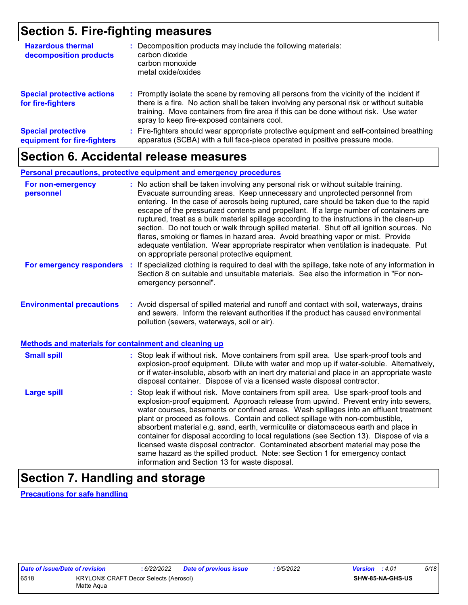### **Section 5. Fire-fighting measures**

| <b>Hazardous thermal</b><br>decomposition products       | : Decomposition products may include the following materials:<br>carbon dioxide<br>carbon monoxide<br>metal oxide/oxides                                                                                                                                                                                                      |
|----------------------------------------------------------|-------------------------------------------------------------------------------------------------------------------------------------------------------------------------------------------------------------------------------------------------------------------------------------------------------------------------------|
| <b>Special protective actions</b><br>for fire-fighters   | : Promptly isolate the scene by removing all persons from the vicinity of the incident if<br>there is a fire. No action shall be taken involving any personal risk or without suitable<br>training. Move containers from fire area if this can be done without risk. Use water<br>spray to keep fire-exposed containers cool. |
| <b>Special protective</b><br>equipment for fire-fighters | : Fire-fighters should wear appropriate protective equipment and self-contained breathing<br>apparatus (SCBA) with a full face-piece operated in positive pressure mode.                                                                                                                                                      |

## **Section 6. Accidental release measures**

#### **Personal precautions, protective equipment and emergency procedures**

| For non-emergency<br>personnel                        | : No action shall be taken involving any personal risk or without suitable training.<br>Evacuate surrounding areas. Keep unnecessary and unprotected personnel from<br>entering. In the case of aerosols being ruptured, care should be taken due to the rapid<br>escape of the pressurized contents and propellant. If a large number of containers are<br>ruptured, treat as a bulk material spillage according to the instructions in the clean-up<br>section. Do not touch or walk through spilled material. Shut off all ignition sources. No<br>flares, smoking or flames in hazard area. Avoid breathing vapor or mist. Provide<br>adequate ventilation. Wear appropriate respirator when ventilation is inadequate. Put<br>on appropriate personal protective equipment. |
|-------------------------------------------------------|----------------------------------------------------------------------------------------------------------------------------------------------------------------------------------------------------------------------------------------------------------------------------------------------------------------------------------------------------------------------------------------------------------------------------------------------------------------------------------------------------------------------------------------------------------------------------------------------------------------------------------------------------------------------------------------------------------------------------------------------------------------------------------|
| For emergency responders                              | : If specialized clothing is required to deal with the spillage, take note of any information in<br>Section 8 on suitable and unsuitable materials. See also the information in "For non-<br>emergency personnel".                                                                                                                                                                                                                                                                                                                                                                                                                                                                                                                                                               |
| <b>Environmental precautions</b>                      | : Avoid dispersal of spilled material and runoff and contact with soil, waterways, drains<br>and sewers. Inform the relevant authorities if the product has caused environmental<br>pollution (sewers, waterways, soil or air).                                                                                                                                                                                                                                                                                                                                                                                                                                                                                                                                                  |
| Methods and materials for containment and cleaning up |                                                                                                                                                                                                                                                                                                                                                                                                                                                                                                                                                                                                                                                                                                                                                                                  |
| <b>Small spill</b>                                    | : Stop leak if without risk. Move containers from spill area. Use spark-proof tools and<br>explosion-proof equipment. Dilute with water and mop up if water-soluble. Alternatively,<br>or if water-insoluble, absorb with an inert dry material and place in an appropriate waste<br>disposal container. Dispose of via a licensed waste disposal contractor.                                                                                                                                                                                                                                                                                                                                                                                                                    |
| <b>Large spill</b>                                    | : Stop leak if without risk. Move containers from spill area. Use spark-proof tools and<br>explosion-proof equipment. Approach release from upwind. Prevent entry into sewers,<br>water courses, basements or confined areas. Wash spillages into an effluent treatment<br>plant or proceed as follows. Contain and collect spillage with non-combustible,<br>absorbent material e.g. sand, earth, vermiculite or diatomaceous earth and place in<br>container for disposal according to local regulations (see Section 13). Dispose of via a<br>licensed waste disposal contractor. Contaminated absorbent material may pose the<br>same hazard as the spilled product. Note: see Section 1 for emergency contact<br>information and Section 13 for waste disposal.             |

## **Section 7. Handling and storage**

**Precautions for safe handling**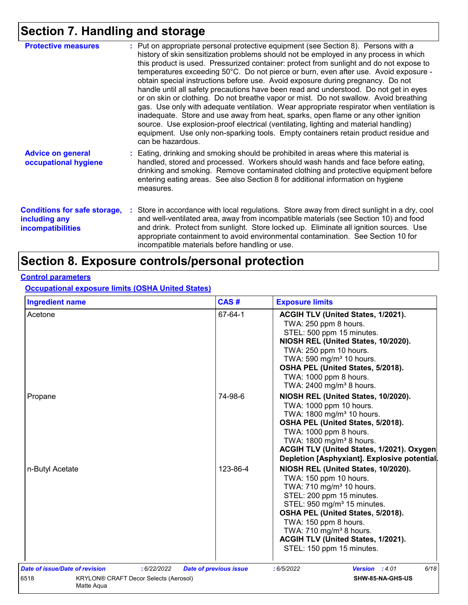## **Section 7. Handling and storage**

| <b>Protective measures</b>                                                       | : Put on appropriate personal protective equipment (see Section 8). Persons with a<br>history of skin sensitization problems should not be employed in any process in which<br>this product is used. Pressurized container: protect from sunlight and do not expose to<br>temperatures exceeding 50°C. Do not pierce or burn, even after use. Avoid exposure -<br>obtain special instructions before use. Avoid exposure during pregnancy. Do not<br>handle until all safety precautions have been read and understood. Do not get in eyes<br>or on skin or clothing. Do not breathe vapor or mist. Do not swallow. Avoid breathing<br>gas. Use only with adequate ventilation. Wear appropriate respirator when ventilation is<br>inadequate. Store and use away from heat, sparks, open flame or any other ignition<br>source. Use explosion-proof electrical (ventilating, lighting and material handling)<br>equipment. Use only non-sparking tools. Empty containers retain product residue and<br>can be hazardous. |
|----------------------------------------------------------------------------------|---------------------------------------------------------------------------------------------------------------------------------------------------------------------------------------------------------------------------------------------------------------------------------------------------------------------------------------------------------------------------------------------------------------------------------------------------------------------------------------------------------------------------------------------------------------------------------------------------------------------------------------------------------------------------------------------------------------------------------------------------------------------------------------------------------------------------------------------------------------------------------------------------------------------------------------------------------------------------------------------------------------------------|
| <b>Advice on general</b><br>occupational hygiene                                 | : Eating, drinking and smoking should be prohibited in areas where this material is<br>handled, stored and processed. Workers should wash hands and face before eating,<br>drinking and smoking. Remove contaminated clothing and protective equipment before<br>entering eating areas. See also Section 8 for additional information on hygiene<br>measures.                                                                                                                                                                                                                                                                                                                                                                                                                                                                                                                                                                                                                                                             |
| <b>Conditions for safe storage,</b><br>including any<br><b>incompatibilities</b> | : Store in accordance with local regulations. Store away from direct sunlight in a dry, cool<br>and well-ventilated area, away from incompatible materials (see Section 10) and food<br>and drink. Protect from sunlight. Store locked up. Eliminate all ignition sources. Use<br>appropriate containment to avoid environmental contamination. See Section 10 for<br>incompatible materials before handling or use.                                                                                                                                                                                                                                                                                                                                                                                                                                                                                                                                                                                                      |

## **Section 8. Exposure controls/personal protection**

#### **Control parameters**

**Occupational exposure limits (OSHA United States)**

| <b>Ingredient name</b>                                             | CAS#                          | <b>Exposure limits</b>                                                                                                                                                                                                                                                                                                                                |  |  |  |
|--------------------------------------------------------------------|-------------------------------|-------------------------------------------------------------------------------------------------------------------------------------------------------------------------------------------------------------------------------------------------------------------------------------------------------------------------------------------------------|--|--|--|
| Acetone                                                            | 67-64-1                       | <b>ACGIH TLV (United States, 1/2021).</b><br>TWA: 250 ppm 8 hours.<br>STEL: 500 ppm 15 minutes.<br>NIOSH REL (United States, 10/2020).<br>TWA: 250 ppm 10 hours.<br>TWA: 590 mg/m <sup>3</sup> 10 hours.<br>OSHA PEL (United States, 5/2018).<br>TWA: 1000 ppm 8 hours.<br>TWA: 2400 mg/m <sup>3</sup> 8 hours.                                       |  |  |  |
| Propane                                                            | 74-98-6                       | NIOSH REL (United States, 10/2020).<br>TWA: 1000 ppm 10 hours.<br>TWA: 1800 mg/m <sup>3</sup> 10 hours.<br>OSHA PEL (United States, 5/2018).<br>TWA: 1000 ppm 8 hours.<br>TWA: 1800 mg/m <sup>3</sup> 8 hours.<br>ACGIH TLV (United States, 1/2021). Oxygen<br>Depletion [Asphyxiant]. Explosive potential.                                           |  |  |  |
| n-Butyl Acetate                                                    | 123-86-4                      | NIOSH REL (United States, 10/2020).<br>TWA: 150 ppm 10 hours.<br>TWA: 710 mg/m <sup>3</sup> 10 hours.<br>STEL: 200 ppm 15 minutes.<br>STEL: 950 mg/m <sup>3</sup> 15 minutes.<br>OSHA PEL (United States, 5/2018).<br>TWA: 150 ppm 8 hours.<br>TWA: 710 mg/m <sup>3</sup> 8 hours.<br>ACGIH TLV (United States, 1/2021).<br>STEL: 150 ppm 15 minutes. |  |  |  |
| Date of issue/Date of revision<br>: 6/22/2022                      | <b>Date of previous issue</b> | 6/18<br>:6/5/2022<br>Version : 4.01                                                                                                                                                                                                                                                                                                                   |  |  |  |
| 6518<br><b>KRYLON® CRAFT Decor Selects (Aerosol)</b><br>Matte Aqua |                               | SHW-85-NA-GHS-US                                                                                                                                                                                                                                                                                                                                      |  |  |  |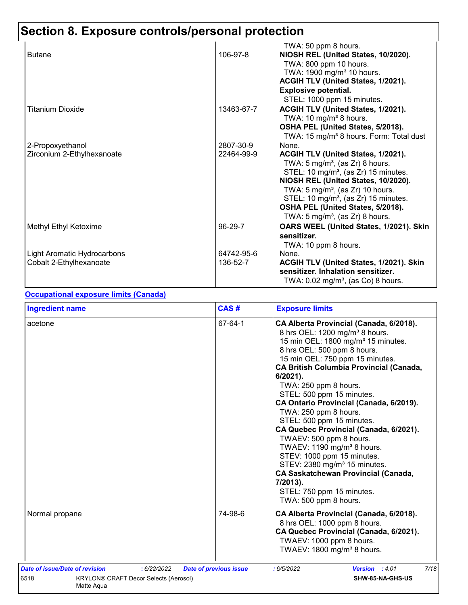| <b>Butane</b>               | 106-97-8   | TWA: 50 ppm 8 hours.<br>NIOSH REL (United States, 10/2020). |
|-----------------------------|------------|-------------------------------------------------------------|
|                             |            | TWA: 800 ppm 10 hours.                                      |
|                             |            | TWA: 1900 mg/m <sup>3</sup> 10 hours.                       |
|                             |            | ACGIH TLV (United States, 1/2021).                          |
|                             |            | <b>Explosive potential.</b>                                 |
|                             |            | STEL: 1000 ppm 15 minutes.                                  |
| <b>Titanium Dioxide</b>     | 13463-67-7 | ACGIH TLV (United States, 1/2021).                          |
|                             |            | TWA: 10 mg/m <sup>3</sup> 8 hours.                          |
|                             |            | OSHA PEL (United States, 5/2018).                           |
|                             |            | TWA: 15 mg/m <sup>3</sup> 8 hours. Form: Total dust         |
| 2-Propoxyethanol            | 2807-30-9  | None.                                                       |
| Zirconium 2-Ethylhexanoate  | 22464-99-9 | ACGIH TLV (United States, 1/2021).                          |
|                             |            | TWA: $5 \text{ mg/m}^3$ , (as Zr) 8 hours.                  |
|                             |            | STEL: 10 mg/m <sup>3</sup> , (as Zr) 15 minutes.            |
|                             |            | NIOSH REL (United States, 10/2020).                         |
|                             |            | TWA: $5 \text{ mg/m}^3$ , (as Zr) 10 hours.                 |
|                             |            | STEL: 10 mg/m <sup>3</sup> , (as Zr) 15 minutes.            |
|                             |            | OSHA PEL (United States, 5/2018).                           |
|                             |            | TWA: 5 mg/m <sup>3</sup> , (as Zr) 8 hours.                 |
| Methyl Ethyl Ketoxime       | 96-29-7    | OARS WEEL (United States, 1/2021). Skin                     |
|                             |            | sensitizer.                                                 |
|                             |            | TWA: 10 ppm 8 hours.                                        |
| Light Aromatic Hydrocarbons | 64742-95-6 | None.                                                       |
| Cobalt 2-Ethylhexanoate     | 136-52-7   | ACGIH TLV (United States, 1/2021). Skin                     |
|                             |            | sensitizer. Inhalation sensitizer.                          |
|                             |            | TWA: $0.02$ mg/m <sup>3</sup> , (as Co) 8 hours.            |
|                             |            |                                                             |

#### **Occupational exposure limits (Canada)**

| <b>Ingredient name</b>                                                                                              | CAS#                          | <b>Exposure limits</b>                                                                                                                                                                                                                                                                                                                                                                                                                                                                                                                                                                                                                                                                                                                     |
|---------------------------------------------------------------------------------------------------------------------|-------------------------------|--------------------------------------------------------------------------------------------------------------------------------------------------------------------------------------------------------------------------------------------------------------------------------------------------------------------------------------------------------------------------------------------------------------------------------------------------------------------------------------------------------------------------------------------------------------------------------------------------------------------------------------------------------------------------------------------------------------------------------------------|
| acetone                                                                                                             | 67-64-1                       | CA Alberta Provincial (Canada, 6/2018).<br>8 hrs OEL: 1200 mg/m <sup>3</sup> 8 hours.<br>15 min OEL: 1800 mg/m <sup>3</sup> 15 minutes.<br>8 hrs OEL: 500 ppm 8 hours.<br>15 min OEL: 750 ppm 15 minutes.<br><b>CA British Columbia Provincial (Canada,</b><br>$6/2021$ ).<br>TWA: 250 ppm 8 hours.<br>STEL: 500 ppm 15 minutes.<br>CA Ontario Provincial (Canada, 6/2019).<br>TWA: 250 ppm 8 hours.<br>STEL: 500 ppm 15 minutes.<br>CA Quebec Provincial (Canada, 6/2021).<br>TWAEV: 500 ppm 8 hours.<br>TWAEV: 1190 mg/m <sup>3</sup> 8 hours.<br>STEV: 1000 ppm 15 minutes.<br>STEV: 2380 mg/m <sup>3</sup> 15 minutes.<br><b>CA Saskatchewan Provincial (Canada,</b><br>7/2013).<br>STEL: 750 ppm 15 minutes.<br>TWA: 500 ppm 8 hours. |
| Normal propane                                                                                                      | 74-98-6                       | CA Alberta Provincial (Canada, 6/2018).<br>8 hrs OEL: 1000 ppm 8 hours.<br>CA Quebec Provincial (Canada, 6/2021).<br>TWAEV: 1000 ppm 8 hours.<br>TWAEV: 1800 mg/m <sup>3</sup> 8 hours.                                                                                                                                                                                                                                                                                                                                                                                                                                                                                                                                                    |
| Date of issue/Date of revision<br>: 6/22/2022<br>6518<br><b>KRYLON® CRAFT Decor Selects (Aerosol)</b><br>Matte Aqua | <b>Date of previous issue</b> | 7/18<br>:6/5/2022<br><b>Version</b> : 4.01<br>SHW-85-NA-GHS-US                                                                                                                                                                                                                                                                                                                                                                                                                                                                                                                                                                                                                                                                             |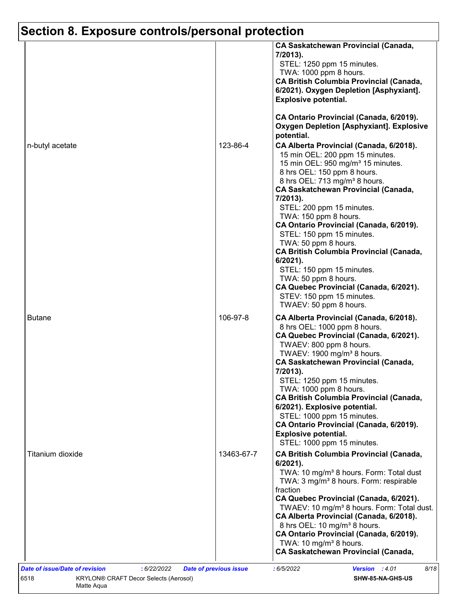|                  |            | <b>CA Saskatchewan Provincial (Canada,</b><br>7/2013).<br>STEL: 1250 ppm 15 minutes.                                                                                                                                                                                                                                                                                                                                         |
|------------------|------------|------------------------------------------------------------------------------------------------------------------------------------------------------------------------------------------------------------------------------------------------------------------------------------------------------------------------------------------------------------------------------------------------------------------------------|
|                  |            | TWA: 1000 ppm 8 hours.<br><b>CA British Columbia Provincial (Canada,</b><br>6/2021). Oxygen Depletion [Asphyxiant].<br><b>Explosive potential.</b>                                                                                                                                                                                                                                                                           |
|                  |            | CA Ontario Provincial (Canada, 6/2019).<br><b>Oxygen Depletion [Asphyxiant]. Explosive</b><br>potential.                                                                                                                                                                                                                                                                                                                     |
| n-butyl acetate  | 123-86-4   | CA Alberta Provincial (Canada, 6/2018).<br>15 min OEL: 200 ppm 15 minutes.<br>15 min OEL: 950 mg/m <sup>3</sup> 15 minutes.<br>8 hrs OEL: 150 ppm 8 hours.<br>8 hrs OEL: 713 mg/m <sup>3</sup> 8 hours.<br><b>CA Saskatchewan Provincial (Canada,</b><br>7/2013).<br>STEL: 200 ppm 15 minutes.<br>TWA: 150 ppm 8 hours.<br>CA Ontario Provincial (Canada, 6/2019).<br>STEL: 150 ppm 15 minutes.<br>TWA: 50 ppm 8 hours.      |
|                  |            | <b>CA British Columbia Provincial (Canada,</b><br>6/2021).<br>STEL: 150 ppm 15 minutes.<br>TWA: 50 ppm 8 hours.<br>CA Quebec Provincial (Canada, 6/2021).<br>STEV: 150 ppm 15 minutes.<br>TWAEV: 50 ppm 8 hours.                                                                                                                                                                                                             |
| <b>Butane</b>    | 106-97-8   | CA Alberta Provincial (Canada, 6/2018).<br>8 hrs OEL: 1000 ppm 8 hours.<br>CA Quebec Provincial (Canada, 6/2021).<br>TWAEV: 800 ppm 8 hours.<br>TWAEV: 1900 mg/m <sup>3</sup> 8 hours.<br><b>CA Saskatchewan Provincial (Canada,</b><br>7/2013).                                                                                                                                                                             |
|                  |            | STEL: 1250 ppm 15 minutes.<br>TWA: 1000 ppm 8 hours.<br><b>CA British Columbia Provincial (Canada,</b><br>6/2021). Explosive potential.<br>STEL: 1000 ppm 15 minutes.<br>CA Ontario Provincial (Canada, 6/2019).<br><b>Explosive potential.</b><br>STEL: 1000 ppm 15 minutes.                                                                                                                                                |
| Titanium dioxide | 13463-67-7 | <b>CA British Columbia Provincial (Canada,</b><br>$6/2021$ ).<br>TWA: 10 mg/m <sup>3</sup> 8 hours. Form: Total dust<br>TWA: 3 mg/m <sup>3</sup> 8 hours. Form: respirable<br>fraction<br>CA Quebec Provincial (Canada, 6/2021).<br>TWAEV: 10 mg/m <sup>3</sup> 8 hours. Form: Total dust.<br>CA Alberta Provincial (Canada, 6/2018).<br>8 hrs OEL: 10 mg/m <sup>3</sup> 8 hours.<br>CA Ontario Provincial (Canada, 6/2019). |
|                  |            | TWA: 10 mg/m <sup>3</sup> 8 hours.<br><b>CA Saskatchewan Provincial (Canada,</b>                                                                                                                                                                                                                                                                                                                                             |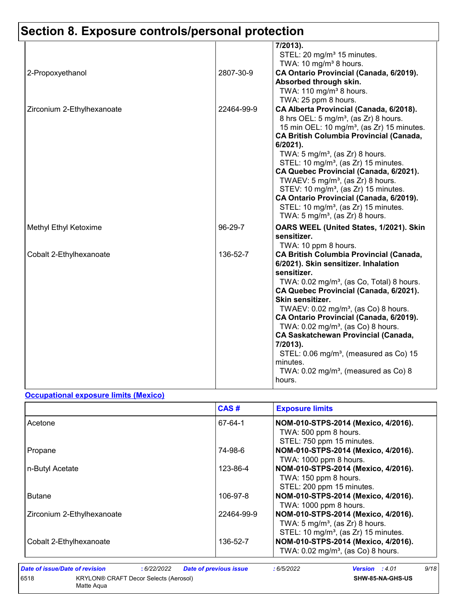|                            |            | 7/2013).<br>STEL: 20 mg/m <sup>3</sup> 15 minutes.<br>TWA: 10 mg/m <sup>3</sup> 8 hours.                                                                                                                                                                                                                                                                                                                                                                                                                                                                                                                                  |
|----------------------------|------------|---------------------------------------------------------------------------------------------------------------------------------------------------------------------------------------------------------------------------------------------------------------------------------------------------------------------------------------------------------------------------------------------------------------------------------------------------------------------------------------------------------------------------------------------------------------------------------------------------------------------------|
| 2-Propoxyethanol           | 2807-30-9  | CA Ontario Provincial (Canada, 6/2019).<br>Absorbed through skin.<br>TWA: $110 \text{ mg/m}^3$ 8 hours.<br>TWA: 25 ppm 8 hours.                                                                                                                                                                                                                                                                                                                                                                                                                                                                                           |
| Zirconium 2-Ethylhexanoate | 22464-99-9 | CA Alberta Provincial (Canada, 6/2018).<br>8 hrs OEL: 5 mg/m <sup>3</sup> , (as Zr) 8 hours.<br>15 min OEL: 10 mg/m <sup>3</sup> , (as Zr) 15 minutes.<br><b>CA British Columbia Provincial (Canada,</b><br>$6/2021$ ).<br>TWA: 5 mg/m <sup>3</sup> , (as Zr) 8 hours.<br>STEL: 10 mg/m <sup>3</sup> , (as Zr) 15 minutes.<br>CA Quebec Provincial (Canada, 6/2021).<br>TWAEV: 5 mg/m <sup>3</sup> , (as $Zr$ ) 8 hours.<br>STEV: 10 mg/m <sup>3</sup> , (as Zr) 15 minutes.<br>CA Ontario Provincial (Canada, 6/2019).<br>STEL: 10 mg/m <sup>3</sup> , (as Zr) 15 minutes.<br>TWA: $5 \text{ mg/m}^3$ , (as Zr) 8 hours. |
| Methyl Ethyl Ketoxime      | 96-29-7    | OARS WEEL (United States, 1/2021). Skin<br>sensitizer.<br>TWA: 10 ppm 8 hours.                                                                                                                                                                                                                                                                                                                                                                                                                                                                                                                                            |
| Cobalt 2-Ethylhexanoate    | 136-52-7   | <b>CA British Columbia Provincial (Canada,</b><br>6/2021). Skin sensitizer. Inhalation<br>sensitizer.<br>TWA: 0.02 mg/m <sup>3</sup> , (as Co, Total) 8 hours.<br>CA Quebec Provincial (Canada, 6/2021).<br>Skin sensitizer.<br>TWAEV: $0.02$ mg/m <sup>3</sup> , (as Co) 8 hours.<br>CA Ontario Provincial (Canada, 6/2019).<br>TWA: $0.02 \text{ mg/m}^3$ , (as Co) 8 hours.<br><b>CA Saskatchewan Provincial (Canada,</b><br>7/2013).<br>STEL: 0.06 mg/m <sup>3</sup> , (measured as Co) 15<br>minutes.<br>TWA: $0.02$ mg/m <sup>3</sup> , (measured as Co) 8<br>hours.                                                |

#### **Occupational exposure limits (Mexico)**

Matte Aqua

|                            | CAS#       | <b>Exposure limits</b>                                                                                                                |
|----------------------------|------------|---------------------------------------------------------------------------------------------------------------------------------------|
| Acetone                    | 67-64-1    | NOM-010-STPS-2014 (Mexico, 4/2016).<br>TWA: 500 ppm 8 hours.<br>STEL: 750 ppm 15 minutes.                                             |
| Propane                    | 74-98-6    | NOM-010-STPS-2014 (Mexico, 4/2016).<br>TWA: 1000 ppm 8 hours.                                                                         |
| n-Butyl Acetate            | 123-86-4   | NOM-010-STPS-2014 (Mexico, 4/2016).<br>TWA: 150 ppm 8 hours.<br>STEL: 200 ppm 15 minutes.                                             |
| <b>Butane</b>              | 106-97-8   | NOM-010-STPS-2014 (Mexico, 4/2016).<br>TWA: 1000 ppm 8 hours.                                                                         |
| Zirconium 2-Ethylhexanoate | 22464-99-9 | NOM-010-STPS-2014 (Mexico, 4/2016).<br>TWA: $5 \text{ mg/m}^3$ , (as Zr) 8 hours.<br>STEL: 10 mg/m <sup>3</sup> , (as Zr) 15 minutes. |
| Cobalt 2-Ethylhexanoate    | 136-52-7   | NOM-010-STPS-2014 (Mexico, 4/2016).<br>TWA: 0.02 mg/m <sup>3</sup> , (as Co) 8 hours.                                                 |

*Date of issue/Date of revision* **:** *6/22/2022 Date of previous issue : 6/5/2022 Version : 4.01 9/18* 6518 KRYLON® CRAFT Decor Selects (Aerosol)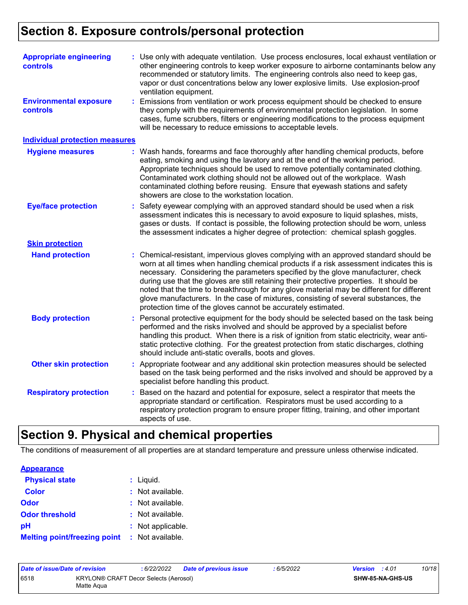| <b>Appropriate engineering</b><br>controls<br><b>Environmental exposure</b><br><b>controls</b> | : Use only with adequate ventilation. Use process enclosures, local exhaust ventilation or<br>other engineering controls to keep worker exposure to airborne contaminants below any<br>recommended or statutory limits. The engineering controls also need to keep gas,<br>vapor or dust concentrations below any lower explosive limits. Use explosion-proof<br>ventilation equipment.<br>: Emissions from ventilation or work process equipment should be checked to ensure<br>they comply with the requirements of environmental protection legislation. In some<br>cases, fume scrubbers, filters or engineering modifications to the process equipment<br>will be necessary to reduce emissions to acceptable levels. |
|------------------------------------------------------------------------------------------------|----------------------------------------------------------------------------------------------------------------------------------------------------------------------------------------------------------------------------------------------------------------------------------------------------------------------------------------------------------------------------------------------------------------------------------------------------------------------------------------------------------------------------------------------------------------------------------------------------------------------------------------------------------------------------------------------------------------------------|
| <b>Individual protection measures</b>                                                          |                                                                                                                                                                                                                                                                                                                                                                                                                                                                                                                                                                                                                                                                                                                            |
| <b>Hygiene measures</b>                                                                        | : Wash hands, forearms and face thoroughly after handling chemical products, before<br>eating, smoking and using the lavatory and at the end of the working period.<br>Appropriate techniques should be used to remove potentially contaminated clothing.<br>Contaminated work clothing should not be allowed out of the workplace. Wash<br>contaminated clothing before reusing. Ensure that eyewash stations and safety<br>showers are close to the workstation location.                                                                                                                                                                                                                                                |
| <b>Eye/face protection</b>                                                                     | : Safety eyewear complying with an approved standard should be used when a risk<br>assessment indicates this is necessary to avoid exposure to liquid splashes, mists,<br>gases or dusts. If contact is possible, the following protection should be worn, unless<br>the assessment indicates a higher degree of protection: chemical splash goggles.                                                                                                                                                                                                                                                                                                                                                                      |
| <b>Skin protection</b>                                                                         |                                                                                                                                                                                                                                                                                                                                                                                                                                                                                                                                                                                                                                                                                                                            |
| <b>Hand protection</b>                                                                         | : Chemical-resistant, impervious gloves complying with an approved standard should be<br>worn at all times when handling chemical products if a risk assessment indicates this is<br>necessary. Considering the parameters specified by the glove manufacturer, check<br>during use that the gloves are still retaining their protective properties. It should be<br>noted that the time to breakthrough for any glove material may be different for different<br>glove manufacturers. In the case of mixtures, consisting of several substances, the<br>protection time of the gloves cannot be accurately estimated.                                                                                                     |
| <b>Body protection</b>                                                                         | : Personal protective equipment for the body should be selected based on the task being<br>performed and the risks involved and should be approved by a specialist before<br>handling this product. When there is a risk of ignition from static electricity, wear anti-<br>static protective clothing. For the greatest protection from static discharges, clothing<br>should include anti-static overalls, boots and gloves.                                                                                                                                                                                                                                                                                             |
| <b>Other skin protection</b>                                                                   | : Appropriate footwear and any additional skin protection measures should be selected<br>based on the task being performed and the risks involved and should be approved by a<br>specialist before handling this product.                                                                                                                                                                                                                                                                                                                                                                                                                                                                                                  |
| <b>Respiratory protection</b>                                                                  | : Based on the hazard and potential for exposure, select a respirator that meets the<br>appropriate standard or certification. Respirators must be used according to a<br>respiratory protection program to ensure proper fitting, training, and other important<br>aspects of use.                                                                                                                                                                                                                                                                                                                                                                                                                                        |

## **Section 9. Physical and chemical properties**

The conditions of measurement of all properties are at standard temperature and pressure unless otherwise indicated.

| <b>Appearance</b>                   |                   |
|-------------------------------------|-------------------|
| <b>Physical state</b>               | $:$ Liquid.       |
| <b>Color</b>                        | : Not available.  |
| <b>Odor</b>                         | : Not available.  |
| <b>Odor threshold</b>               | : Not available.  |
| рH                                  | : Not applicable. |
| <b>Melting point/freezing point</b> | : Not available.  |

| Date of issue/Date of revision                              |  | : 6/22/2022 | <b>Date of previous issue</b> | 6/5/2022 | <b>Version</b> : 4.01 |  | 10/18 |
|-------------------------------------------------------------|--|-------------|-------------------------------|----------|-----------------------|--|-------|
| 6518<br>KRYLON® CRAFT Decor Selects (Aerosol)<br>Matte Agua |  |             |                               |          | SHW-85-NA-GHS-US      |  |       |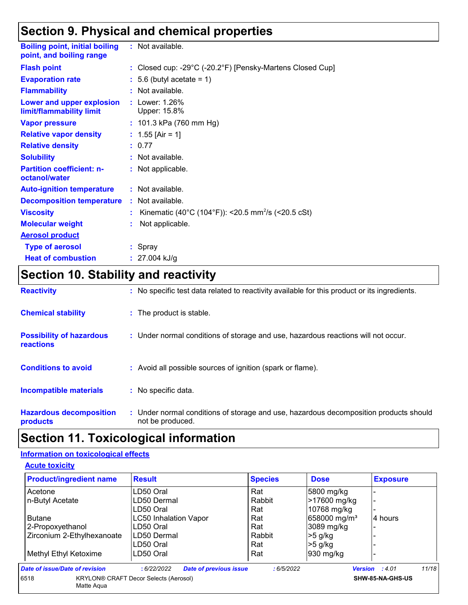## **Section 9. Physical and chemical properties**

| <b>Boiling point, initial boiling</b><br>point, and boiling range | : Not available.                                               |
|-------------------------------------------------------------------|----------------------------------------------------------------|
| <b>Flash point</b>                                                | : Closed cup: -29°C (-20.2°F) [Pensky-Martens Closed Cup]      |
| <b>Evaporation rate</b>                                           | $: 5.6$ (butyl acetate = 1)                                    |
| <b>Flammability</b>                                               | : Not available.                                               |
| Lower and upper explosion<br>limit/flammability limit             | : Lower: 1.26%<br>Upper: 15.8%                                 |
| <b>Vapor pressure</b>                                             | : 101.3 kPa (760 mm Hg)                                        |
| <b>Relative vapor density</b>                                     | : $1.55$ [Air = 1]                                             |
| <b>Relative density</b>                                           | : 0.77                                                         |
| <b>Solubility</b>                                                 | : Not available.                                               |
| <b>Partition coefficient: n-</b><br>octanol/water                 | : Not applicable.                                              |
| <b>Auto-ignition temperature</b>                                  | : Not available.                                               |
| <b>Decomposition temperature</b>                                  | : Not available.                                               |
| <b>Viscosity</b>                                                  | Kinematic (40°C (104°F)): <20.5 mm <sup>2</sup> /s (<20.5 cSt) |
| <b>Molecular weight</b>                                           | Not applicable.                                                |
| <b>Aerosol product</b>                                            |                                                                |
| <b>Type of aerosol</b>                                            | : Spray                                                        |
| <b>Heat of combustion</b>                                         | $: 27.004$ kJ/g                                                |

## **Section 10. Stability and reactivity**

| <b>Reactivity</b>                                   | : No specific test data related to reactivity available for this product or its ingredients.              |
|-----------------------------------------------------|-----------------------------------------------------------------------------------------------------------|
| <b>Chemical stability</b>                           | : The product is stable.                                                                                  |
| <b>Possibility of hazardous</b><br><b>reactions</b> | : Under normal conditions of storage and use, hazardous reactions will not occur.                         |
| <b>Conditions to avoid</b>                          | : Avoid all possible sources of ignition (spark or flame).                                                |
| <b>Incompatible materials</b>                       | : No specific data.                                                                                       |
| <b>Hazardous decomposition</b><br>products          | : Under normal conditions of storage and use, hazardous decomposition products should<br>not be produced. |

## **Section 11. Toxicological information**

#### **Information on toxicological effects**

**Acute toxicity**

| <b>Product/ingredient name</b> | <b>Result</b>                                | <b>Species</b> | <b>Dose</b>              | <b>Exposure</b>         |
|--------------------------------|----------------------------------------------|----------------|--------------------------|-------------------------|
| Acetone                        | LD50 Oral                                    | Rat            | 5800 mg/kg               |                         |
| n-Butyl Acetate                | LD50 Dermal                                  | Rabbit         | >17600 mg/kg             | $\blacksquare$          |
|                                | LD50 Oral                                    | Rat            | 10768 mg/kg              |                         |
| <b>Butane</b>                  | <b>LC50 Inhalation Vapor</b>                 | Rat            | 658000 mg/m <sup>3</sup> | 4 hours                 |
| 2-Propoxyethanol               | LD50 Oral                                    | Rat            | 3089 mg/kg               |                         |
| Zirconium 2-Ethylhexanoate     | LD50 Dermal                                  | Rabbit         | $>5$ g/kg                |                         |
|                                | LD50 Oral                                    | Rat            | $>5$ g/kg                |                         |
| Methyl Ethyl Ketoxime          | LD50 Oral                                    | Rat            | 930 mg/kg                |                         |
| Date of issue/Date of revision | <b>Date of previous issue</b><br>:6/22/2022  | :6/5/2022      |                          | 11/18<br>Version : 4.01 |
| 6518<br>Matte Agua             | <b>KRYLON® CRAFT Decor Selects (Aerosol)</b> |                |                          | SHW-85-NA-GHS-US        |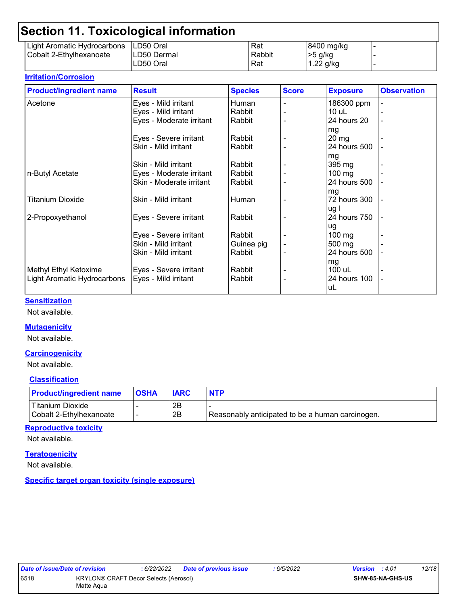## **Section 11. Toxicological information**

| -----                       |             |        |             |  |
|-----------------------------|-------------|--------|-------------|--|
| Light Aromatic Hydrocarbons | ILD50 Oral  | Rat    | 8400 mg/kg  |  |
| Cobalt 2-Ethylhexanoate     | LD50 Dermal | Rabbit | >5 g/kg     |  |
|                             | LD50 Oral   | Rat    | $1.22$ g/kg |  |

#### **Irritation/Corrosion**

| <b>Product/ingredient name</b> | <b>Result</b>            | <b>Species</b> | <b>Score</b> | <b>Exposure</b>  | <b>Observation</b> |
|--------------------------------|--------------------------|----------------|--------------|------------------|--------------------|
| Acetone                        | Eyes - Mild irritant     | Human          |              | 186300 ppm       |                    |
|                                | Eyes - Mild irritant     | Rabbit         |              | $10$ uL          |                    |
|                                | Eyes - Moderate irritant | Rabbit         |              | 24 hours 20      |                    |
|                                |                          |                |              | mg               |                    |
|                                | Eyes - Severe irritant   | Rabbit         |              | 20 <sub>mg</sub> |                    |
|                                | Skin - Mild irritant     | Rabbit         |              | 24 hours 500     |                    |
|                                |                          |                |              | mg               |                    |
|                                | Skin - Mild irritant     | Rabbit         |              | 395 mg           |                    |
| n-Butyl Acetate                | Eyes - Moderate irritant | Rabbit         |              | $100$ mg         |                    |
|                                | Skin - Moderate irritant | Rabbit         |              | 24 hours 500     |                    |
|                                |                          |                |              | mg               |                    |
| Titanium Dioxide               | Skin - Mild irritant     | Human          |              | 72 hours 300     |                    |
|                                |                          |                |              | ug I             |                    |
| 2-Propoxyethanol               | Eyes - Severe irritant   | Rabbit         |              | 24 hours 750     |                    |
|                                |                          |                |              | ug               |                    |
|                                | Eyes - Severe irritant   | Rabbit         |              | $100 \text{ mg}$ |                    |
|                                | Skin - Mild irritant     | Guinea pig     |              | 500 mg           |                    |
|                                | Skin - Mild irritant     | Rabbit         |              | 24 hours 500     |                    |
|                                |                          |                |              | mg               |                    |
| Methyl Ethyl Ketoxime          | Eyes - Severe irritant   | Rabbit         |              | 100 uL           |                    |
| Light Aromatic Hydrocarbons    | Eyes - Mild irritant     | Rabbit         |              | 24 hours 100     |                    |
|                                |                          |                |              | uL               |                    |

#### **Sensitization**

Not available.

#### **Mutagenicity**

Not available.

#### **Carcinogenicity**

Not available.

#### **Classification**

| <b>Product/ingredient name</b>              | <b>OSHA</b> | <b>IARC</b> | <b>NTP</b>                                       |
|---------------------------------------------|-------------|-------------|--------------------------------------------------|
| Titanium Dioxide<br>Cobalt 2-Ethylhexanoate |             | 2B<br>2B    | Reasonably anticipated to be a human carcinogen. |

#### **Reproductive toxicity**

Not available.

#### **Teratogenicity**

Not available.

**Specific target organ toxicity (single exposure)**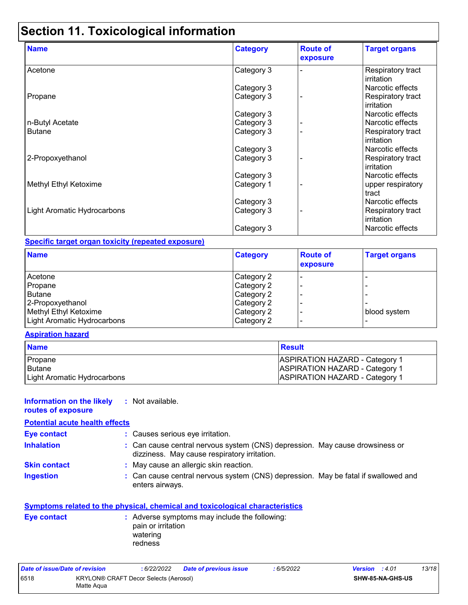## **Section 11. Toxicological information**

| <b>Name</b>                 | <b>Category</b> | <b>Route of</b><br>exposure | <b>Target organs</b>            |
|-----------------------------|-----------------|-----------------------------|---------------------------------|
| Acetone                     | Category 3      |                             | Respiratory tract<br>irritation |
|                             | Category 3      |                             | Narcotic effects                |
| Propane                     | Category 3      |                             | Respiratory tract<br>irritation |
|                             | Category 3      |                             | Narcotic effects                |
| n-Butyl Acetate             | Category 3      |                             | Narcotic effects                |
| <b>Butane</b>               | Category 3      |                             | Respiratory tract<br>irritation |
|                             | Category 3      |                             | Narcotic effects                |
| 2-Propoxyethanol            | Category 3      |                             | Respiratory tract<br>irritation |
|                             | Category 3      |                             | Narcotic effects                |
| Methyl Ethyl Ketoxime       | Category 1      |                             | upper respiratory<br>tract      |
|                             | Category 3      |                             | Narcotic effects                |
| Light Aromatic Hydrocarbons | Category 3      |                             | Respiratory tract<br>irritation |
|                             | Category 3      |                             | Narcotic effects                |

#### **Specific target organ toxicity (repeated exposure)**

| <b>Name</b>                 | <b>Category</b> | <b>Route of</b><br>exposure | <b>Target organs</b> |
|-----------------------------|-----------------|-----------------------------|----------------------|
| Acetone                     | Category 2      |                             |                      |
| Propane                     | Category 2      |                             |                      |
| Butane                      | Category 2      |                             |                      |
| 2-Propoxyethanol            | Category 2      |                             |                      |
| Methyl Ethyl Ketoxime       | Category 2      |                             | blood system         |
| Light Aromatic Hydrocarbons | Category 2      |                             |                      |

#### **Aspiration hazard**

| <b>Name</b>                 | <b>Result</b>                         |
|-----------------------------|---------------------------------------|
| Propane                     | <b>ASPIRATION HAZARD - Category 1</b> |
| <b>Butane</b>               | <b>ASPIRATION HAZARD - Category 1</b> |
| Light Aromatic Hydrocarbons | <b>ASPIRATION HAZARD - Category 1</b> |

#### **Information on the likely :** Not available.

#### **routes of exposure**

| <b>Potential acute health effects</b> |                                                                                                                              |
|---------------------------------------|------------------------------------------------------------------------------------------------------------------------------|
| Eye contact                           | : Causes serious eye irritation.                                                                                             |
| <b>Inhalation</b>                     | : Can cause central nervous system (CNS) depression. May cause drowsiness or<br>dizziness. May cause respiratory irritation. |

- **Skin contact :** May cause an allergic skin reaction.
- **Ingestion :**
- 
- Can cause central nervous system (CNS) depression. May be fatal if swallowed and enters airways.

#### **Symptoms related to the physical, chemical and toxicological characteristics**

| Eye contact | : Adverse symptoms may include the following:<br>pain or irritation |
|-------------|---------------------------------------------------------------------|
|             | watering                                                            |
|             | redness                                                             |

| Date of issue/Date of revision |                                                            | : 6/22/2022 | <b>Date of previous issue</b> | : 6/5/2022 | <b>Version</b> : 4.01   |  | 13/18 |
|--------------------------------|------------------------------------------------------------|-------------|-------------------------------|------------|-------------------------|--|-------|
| 6518                           | <b>KRYLON® CRAFT Decor Selects (Aerosol)</b><br>Matte Agua |             |                               |            | <b>SHW-85-NA-GHS-US</b> |  |       |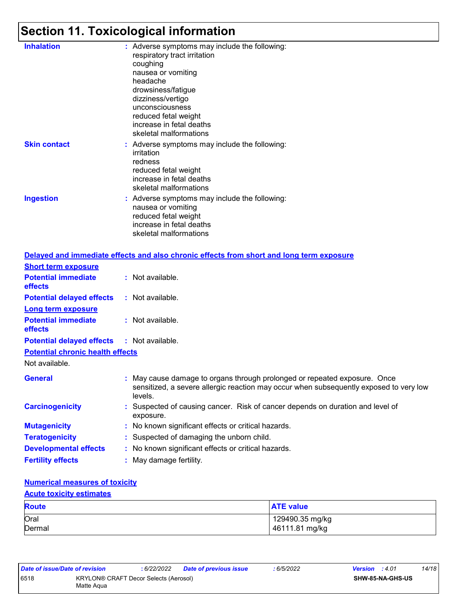## **Section 11. Toxicological information**

| <b>Inhalation</b>   | : Adverse symptoms may include the following:<br>respiratory tract irritation<br>coughing<br>nausea or vomiting<br>headache<br>drowsiness/fatigue<br>dizziness/vertigo<br>unconsciousness<br>reduced fetal weight<br>increase in fetal deaths<br>skeletal malformations |
|---------------------|-------------------------------------------------------------------------------------------------------------------------------------------------------------------------------------------------------------------------------------------------------------------------|
| <b>Skin contact</b> | : Adverse symptoms may include the following:<br>irritation<br>redness<br>reduced fetal weight<br>increase in fetal deaths<br>skeletal malformations                                                                                                                    |
| <b>Ingestion</b>    | : Adverse symptoms may include the following:<br>nausea or vomiting<br>reduced fetal weight<br>increase in fetal deaths<br>skeletal malformations                                                                                                                       |
|                     | Delayed and immediate effects and also shropic effects from short and long :                                                                                                                                                                                            |

|                                                   | Delayed and immediate effects and also chronic effects from short and long term exposure                                                                                       |
|---------------------------------------------------|--------------------------------------------------------------------------------------------------------------------------------------------------------------------------------|
| <b>Short term exposure</b>                        |                                                                                                                                                                                |
| <b>Potential immediate</b><br><b>effects</b>      | : Not available.                                                                                                                                                               |
| <b>Potential delayed effects</b>                  | : Not available.                                                                                                                                                               |
| <b>Long term exposure</b>                         |                                                                                                                                                                                |
| <b>Potential immediate</b><br><b>effects</b>      | $:$ Not available.                                                                                                                                                             |
| <b>Potential delayed effects : Not available.</b> |                                                                                                                                                                                |
| <b>Potential chronic health effects</b>           |                                                                                                                                                                                |
| Not available.                                    |                                                                                                                                                                                |
| <b>General</b>                                    | : May cause damage to organs through prolonged or repeated exposure. Once<br>sensitized, a severe allergic reaction may occur when subsequently exposed to very low<br>levels. |
| <b>Carcinogenicity</b>                            | : Suspected of causing cancer. Risk of cancer depends on duration and level of<br>exposure.                                                                                    |
| <b>Mutagenicity</b>                               | : No known significant effects or critical hazards.                                                                                                                            |
| <b>Teratogenicity</b>                             | : Suspected of damaging the unborn child.                                                                                                                                      |
| <b>Developmental effects</b>                      | : No known significant effects or critical hazards.                                                                                                                            |
| <b>Fertility effects</b>                          | : May damage fertility.                                                                                                                                                        |

#### **Numerical measures of toxicity**

#### **Acute toxicity estimates**

| <b>Route</b> | <b>ATE value</b> |
|--------------|------------------|
| Oral         | 129490.35 mg/kg  |
| Dermal       | 46111.81 mg/kg   |

| Date of issue/Date of revision |                                                     | : 6/22/2022 | <b>Date of previous issue</b> | : 6/5/2022 | <b>Version</b> : 4.01 |                         | 14/18 |
|--------------------------------|-----------------------------------------------------|-------------|-------------------------------|------------|-----------------------|-------------------------|-------|
| 6518                           | KRYLON® CRAFT Decor Selects (Aerosol)<br>Matte Aqua |             |                               |            |                       | <b>SHW-85-NA-GHS-US</b> |       |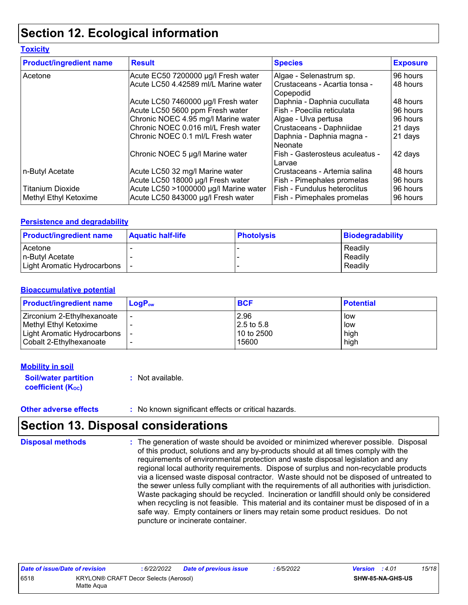## **Section 12. Ecological information**

#### **Toxicity**

| <b>Product/ingredient name</b> | <b>Result</b>                         | <b>Species</b>                             | <b>Exposure</b> |
|--------------------------------|---------------------------------------|--------------------------------------------|-----------------|
| Acetone                        | Acute EC50 7200000 µg/l Fresh water   | Algae - Selenastrum sp.                    | 96 hours        |
|                                | Acute LC50 4.42589 ml/L Marine water  | Crustaceans - Acartia tonsa -<br>Copepodid | 48 hours        |
|                                | Acute LC50 7460000 µg/l Fresh water   | Daphnia - Daphnia cucullata                | 48 hours        |
|                                | Acute LC50 5600 ppm Fresh water       | Fish - Poecilia reticulata                 | 96 hours        |
|                                | Chronic NOEC 4.95 mg/l Marine water   | Algae - Ulva pertusa                       | 96 hours        |
|                                | Chronic NOEC 0.016 ml/L Fresh water   | Crustaceans - Daphniidae                   | 21 days         |
|                                | Chronic NOEC 0.1 ml/L Fresh water     | Daphnia - Daphnia magna -<br>Neonate       | 21 days         |
|                                | Chronic NOEC 5 µg/l Marine water      | Fish - Gasterosteus aculeatus -<br>Larvae  | 42 days         |
| n-Butyl Acetate                | Acute LC50 32 mg/l Marine water       | Crustaceans - Artemia salina               | 48 hours        |
|                                | Acute LC50 18000 µg/l Fresh water     | Fish - Pimephales promelas                 | 96 hours        |
| <b>Titanium Dioxide</b>        | Acute LC50 >1000000 µg/l Marine water | Fish - Fundulus heteroclitus               | 96 hours        |
| ∣Methyl Ethyl Ketoxime         | Acute LC50 843000 µg/l Fresh water    | Fish - Pimephales promelas                 | 96 hours        |

#### **Persistence and degradability**

| <b>Product/ingredient name</b> | <b>Aquatic half-life</b> | <b>Photolysis</b> | Biodegradability |
|--------------------------------|--------------------------|-------------------|------------------|
| Acetone                        |                          |                   | Readily          |
| n-Butyl Acetate                |                          |                   | Readily          |
| Light Aromatic Hydrocarbons    |                          |                   | Readily          |

#### **Bioaccumulative potential**

| <b>Product/ingredient name</b> | $LoaPow$ | <b>BCF</b>    | <b>Potential</b> |
|--------------------------------|----------|---------------|------------------|
| Zirconium 2-Ethylhexanoate     |          | 2.96          | low              |
| Methyl Ethyl Ketoxime          |          | $12.5$ to 5.8 | low              |
| Light Aromatic Hydrocarbons    |          | 10 to 2500    | high             |
| Cobalt 2-Ethylhexanoate        |          | 15600         | high             |

#### **Mobility in soil**

**Soil/water partition coefficient (KOC) :** Not available.

**Other adverse effects** : No known significant effects or critical hazards.

## **Section 13. Disposal considerations**

The generation of waste should be avoided or minimized wherever possible. Disposal of this product, solutions and any by-products should at all times comply with the requirements of environmental protection and waste disposal legislation and any regional local authority requirements. Dispose of surplus and non-recyclable products via a licensed waste disposal contractor. Waste should not be disposed of untreated to the sewer unless fully compliant with the requirements of all authorities with jurisdiction. Waste packaging should be recycled. Incineration or landfill should only be considered when recycling is not feasible. This material and its container must be disposed of in a safe way. Empty containers or liners may retain some product residues. Do not puncture or incinerate container. **Disposal methods :**

| Date of issue/Date of revision |                                                            | : 6/22/2022 | <b>Date of previous issue</b> | : 6/5/2022 | <b>Version</b> : 4.01 |                         | 15/18 |
|--------------------------------|------------------------------------------------------------|-------------|-------------------------------|------------|-----------------------|-------------------------|-------|
| 6518                           | <b>KRYLON® CRAFT Decor Selects (Aerosol)</b><br>Matte Agua |             |                               |            |                       | <b>SHW-85-NA-GHS-US</b> |       |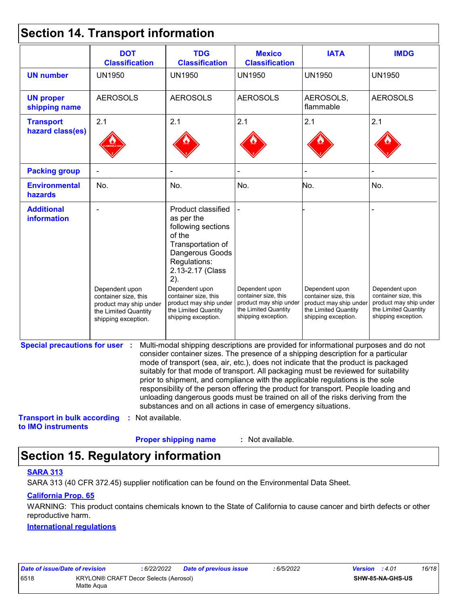### **Section 14. Transport information**

|                                                          | <b>DOT</b><br><b>Classification</b>                                                                             | <b>TDG</b><br><b>Classification</b>                                                                                                                                                                                                                                                                                                                                                                                                                                                                                                                                                                                                                                                 | <b>Mexico</b><br><b>Classification</b>                                                                          | <b>IATA</b>                                                                                                     | <b>IMDG</b>                                                                                                     |
|----------------------------------------------------------|-----------------------------------------------------------------------------------------------------------------|-------------------------------------------------------------------------------------------------------------------------------------------------------------------------------------------------------------------------------------------------------------------------------------------------------------------------------------------------------------------------------------------------------------------------------------------------------------------------------------------------------------------------------------------------------------------------------------------------------------------------------------------------------------------------------------|-----------------------------------------------------------------------------------------------------------------|-----------------------------------------------------------------------------------------------------------------|-----------------------------------------------------------------------------------------------------------------|
| <b>UN number</b>                                         | <b>UN1950</b>                                                                                                   | <b>UN1950</b>                                                                                                                                                                                                                                                                                                                                                                                                                                                                                                                                                                                                                                                                       | <b>UN1950</b>                                                                                                   | <b>UN1950</b>                                                                                                   | <b>UN1950</b>                                                                                                   |
| <b>UN proper</b><br>shipping name                        | <b>AEROSOLS</b>                                                                                                 | <b>AEROSOLS</b>                                                                                                                                                                                                                                                                                                                                                                                                                                                                                                                                                                                                                                                                     | <b>AEROSOLS</b>                                                                                                 | AEROSOLS,<br>flammable                                                                                          | <b>AEROSOLS</b>                                                                                                 |
| <b>Transport</b>                                         | 2.1                                                                                                             | 2.1                                                                                                                                                                                                                                                                                                                                                                                                                                                                                                                                                                                                                                                                                 | 2.1                                                                                                             | 2.1                                                                                                             | 2.1                                                                                                             |
| hazard class(es)                                         |                                                                                                                 |                                                                                                                                                                                                                                                                                                                                                                                                                                                                                                                                                                                                                                                                                     |                                                                                                                 |                                                                                                                 |                                                                                                                 |
| <b>Packing group</b>                                     |                                                                                                                 |                                                                                                                                                                                                                                                                                                                                                                                                                                                                                                                                                                                                                                                                                     |                                                                                                                 |                                                                                                                 |                                                                                                                 |
| <b>Environmental</b><br>hazards                          | No.                                                                                                             | No.                                                                                                                                                                                                                                                                                                                                                                                                                                                                                                                                                                                                                                                                                 | No.                                                                                                             | No.                                                                                                             | No.                                                                                                             |
| <b>Additional</b><br>information                         | Dependent upon<br>container size, this<br>product may ship under<br>the Limited Quantity<br>shipping exception. | Product classified<br>as per the<br>following sections<br>of the<br>Transportation of<br>Dangerous Goods<br>Regulations:<br>2.13-2.17 (Class<br>2).<br>Dependent upon<br>container size, this<br>product may ship under<br>the Limited Quantity<br>shipping exception.                                                                                                                                                                                                                                                                                                                                                                                                              | Dependent upon<br>container size, this<br>product may ship under<br>the Limited Quantity<br>shipping exception. | Dependent upon<br>container size, this<br>product may ship under<br>the Limited Quantity<br>shipping exception. | Dependent upon<br>container size, this<br>product may ship under<br>the Limited Quantity<br>shipping exception. |
| <b>Special precautions for user :</b>                    |                                                                                                                 | Multi-modal shipping descriptions are provided for informational purposes and do not<br>consider container sizes. The presence of a shipping description for a particular<br>mode of transport (sea, air, etc.), does not indicate that the product is packaged<br>suitably for that mode of transport. All packaging must be reviewed for suitability<br>prior to shipment, and compliance with the applicable regulations is the sole<br>responsibility of the person offering the product for transport. People loading and<br>unloading dangerous goods must be trained on all of the risks deriving from the<br>substances and on all actions in case of emergency situations. |                                                                                                                 |                                                                                                                 |                                                                                                                 |
| <b>Transport in bulk according</b><br>to IMO instruments | : Not available.                                                                                                |                                                                                                                                                                                                                                                                                                                                                                                                                                                                                                                                                                                                                                                                                     |                                                                                                                 |                                                                                                                 |                                                                                                                 |
|                                                          |                                                                                                                 | <b>Proper shipping name</b>                                                                                                                                                                                                                                                                                                                                                                                                                                                                                                                                                                                                                                                         | : Not available.                                                                                                |                                                                                                                 |                                                                                                                 |

## **Section 15. Regulatory information**

#### **SARA 313**

SARA 313 (40 CFR 372.45) supplier notification can be found on the Environmental Data Sheet.

#### **California Prop. 65**

WARNING: This product contains chemicals known to the State of California to cause cancer and birth defects or other reproductive harm.

#### **International regulations**

| Date of issue/Date of revision |                                       | 6/22/2022 | Date of previous issue | 6/5/2022 | <b>Version</b> : 4.01 | 16/18 |
|--------------------------------|---------------------------------------|-----------|------------------------|----------|-----------------------|-------|
| 6518                           | KRYLON® CRAFT Decor Selects (Aerosol) |           |                        |          | SHW-85-NA-GHS-US      |       |
|                                | Matte Agua                            |           |                        |          |                       |       |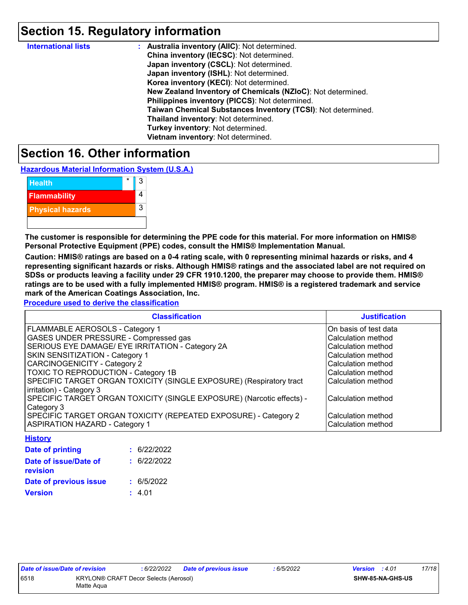## **Section 15. Regulatory information**

| <b>International lists</b> | : Australia inventory (AIIC): Not determined.                |
|----------------------------|--------------------------------------------------------------|
|                            | China inventory (IECSC): Not determined.                     |
|                            | Japan inventory (CSCL): Not determined.                      |
|                            | Japan inventory (ISHL): Not determined.                      |
|                            | Korea inventory (KECI): Not determined.                      |
|                            | New Zealand Inventory of Chemicals (NZIoC): Not determined.  |
|                            | Philippines inventory (PICCS): Not determined.               |
|                            | Taiwan Chemical Substances Inventory (TCSI): Not determined. |
|                            | Thailand inventory: Not determined.                          |
|                            | Turkey inventory: Not determined.                            |
|                            | Vietnam inventory: Not determined.                           |

### **Section 16. Other information**

**Hazardous Material Information System (U.S.A.)**

| <b>Health</b>           | 3 |
|-------------------------|---|
| <b>Flammability</b>     |   |
| <b>Physical hazards</b> | 3 |
|                         |   |

**The customer is responsible for determining the PPE code for this material. For more information on HMIS® Personal Protective Equipment (PPE) codes, consult the HMIS® Implementation Manual.**

**Caution: HMIS® ratings are based on a 0-4 rating scale, with 0 representing minimal hazards or risks, and 4 representing significant hazards or risks. Although HMIS® ratings and the associated label are not required on SDSs or products leaving a facility under 29 CFR 1910.1200, the preparer may choose to provide them. HMIS® ratings are to be used with a fully implemented HMIS® program. HMIS® is a registered trademark and service mark of the American Coatings Association, Inc.**

**Procedure used to derive the classification**

| <b>Classification</b>                                                 | <b>Justification</b>  |
|-----------------------------------------------------------------------|-----------------------|
| FLAMMABLE AEROSOLS - Category 1                                       | On basis of test data |
| <b>GASES UNDER PRESSURE - Compressed gas</b>                          | Calculation method    |
| SERIOUS EYE DAMAGE/ EYE IRRITATION - Category 2A                      | Calculation method    |
| <b>SKIN SENSITIZATION - Category 1</b>                                | Calculation method    |
| <b>CARCINOGENICITY - Category 2</b>                                   | Calculation method    |
| <b>TOXIC TO REPRODUCTION - Category 1B</b>                            | Calculation method    |
| SPECIFIC TARGET ORGAN TOXICITY (SINGLE EXPOSURE) (Respiratory tract   | Calculation method    |
| irritation) - Category 3                                              |                       |
| SPECIFIC TARGET ORGAN TOXICITY (SINGLE EXPOSURE) (Narcotic effects) - | Calculation method    |
| Category 3                                                            |                       |
| SPECIFIC TARGET ORGAN TOXICITY (REPEATED EXPOSURE) - Category 2       | Calculation method    |
| <b>ASPIRATION HAZARD - Category 1</b>                                 | Calculation method    |

| <b>History</b>                           |             |
|------------------------------------------|-------------|
| <b>Date of printing</b>                  | : 6/22/2022 |
| Date of issue/Date of<br><b>revision</b> | : 6/22/2022 |
| Date of previous issue                   | : 6/5/2022  |
| <b>Version</b>                           | : 4.01      |